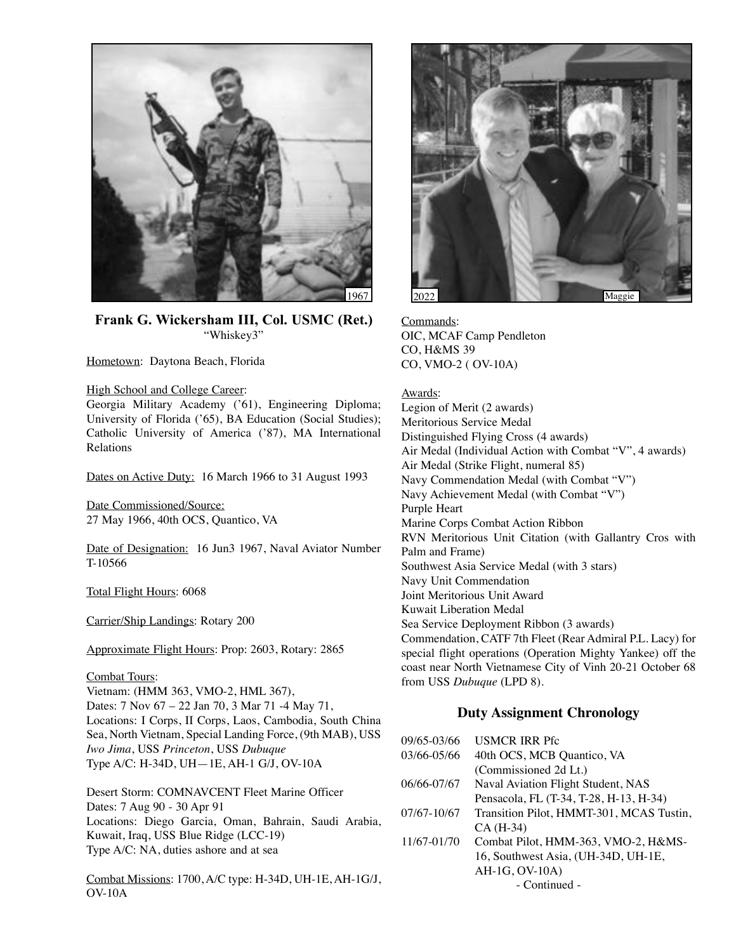

**Frank G. Wickersham III, Col. USMC (Ret.)**  "Whiskey3"

Hometown: Daytona Beach, Florida

### High School and College Career:

Georgia Military Academy ('61), Engineering Diploma; University of Florida ('65), BA Education (Social Studies); Catholic University of America ('87), MA International Relations

Dates on Active Duty: 16 March 1966 to 31 August 1993

Date Commissioned/Source: 27 May 1966, 40th OCS, Quantico, VA

Date of Designation: 16 Jun3 1967, Naval Aviator Number T-10566

Total Flight Hours: 6068

Carrier/Ship Landings: Rotary 200

Approximate Flight Hours: Prop: 2603, Rotary: 2865

## Combat Tours:

Vietnam: (HMM 363, VMO-2, HML 367), Dates: 7 Nov 67 – 22 Jan 70, 3 Mar 71 -4 May 71, Locations: I Corps, II Corps, Laos, Cambodia, South China Sea, North Vietnam, Special Landing Force, (9th MAB), USS *Iwo Jima*, USS *Princeton*, USS *Dubuque* Type A/C: H-34D, UH—1E, AH-1 G/J, OV-10A

Desert Storm: COMNAVCENT Fleet Marine Officer Dates: 7 Aug 90 - 30 Apr 91 Locations: Diego Garcia, Oman, Bahrain, Saudi Arabia, Kuwait, Iraq, USS Blue Ridge (LCC-19) Type A/C: NA, duties ashore and at sea

Combat Missions: 1700, A/C type: H-34D, UH-1E, AH-1G/J, OV-10A



Commands: OIC, MCAF Camp Pendleton CO, H&MS 39 CO, VMO-2 ( OV-10A)

### Awards:

Legion of Merit (2 awards) Meritorious Service Medal Distinguished Flying Cross (4 awards) Air Medal (Individual Action with Combat "V", 4 awards) Air Medal (Strike Flight, numeral 85) Navy Commendation Medal (with Combat "V") Navy Achievement Medal (with Combat "V") Purple Heart Marine Corps Combat Action Ribbon RVN Meritorious Unit Citation (with Gallantry Cros with Palm and Frame) Southwest Asia Service Medal (with 3 stars) Navy Unit Commendation Joint Meritorious Unit Award Kuwait Liberation Medal Sea Service Deployment Ribbon (3 awards) Commendation, CATF 7th Fleet (Rear Admiral P.L. Lacy) for special flight operations (Operation Mighty Yankee) off the coast near North Vietnamese City of Vinh 20-21 October 68 from USS *Dubuque* (LPD 8).

# **Duty Assignment Chronology**

| 09/65-03/66     | <b>USMCR IRR Pfc</b>                     |
|-----------------|------------------------------------------|
| 03/66-05/66     | 40th OCS, MCB Quantico, VA               |
|                 | (Commissioned 2d Lt.)                    |
| 06/66-07/67     | Naval Aviation Flight Student, NAS       |
|                 | Pensacola, FL (T-34, T-28, H-13, H-34)   |
| $07/67 - 10/67$ | Transition Pilot, HMMT-301, MCAS Tustin, |
|                 | CA (H-34)                                |
| 11/67-01/70     | Combat Pilot, HMM-363, VMO-2, H&MS-      |
|                 | 16, Southwest Asia, (UH-34D, UH-1E,      |
|                 | AH-1G, OV-10A)                           |
|                 | - Continued -                            |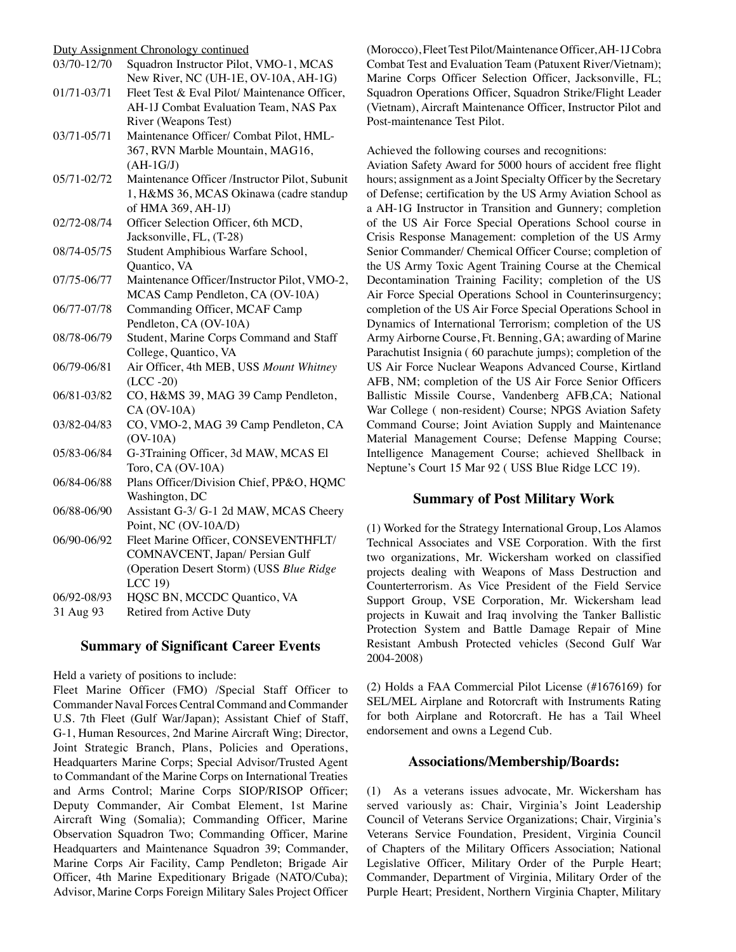| Duty Assignment Chronology continued |                                                |  |
|--------------------------------------|------------------------------------------------|--|
| 03/70-12/70                          | Squadron Instructor Pilot, VMO-1, MCAS         |  |
|                                      | New River, NC (UH-1E, OV-10A, AH-1G)           |  |
| 01/71-03/71                          | Fleet Test & Eval Pilot/ Maintenance Officer,  |  |
|                                      | AH-1J Combat Evaluation Team, NAS Pax          |  |
|                                      | River (Weapons Test)                           |  |
| 03/71-05/71                          | Maintenance Officer/ Combat Pilot, HML-        |  |
|                                      | 367, RVN Marble Mountain, MAG16,               |  |
|                                      | $(AH-1G/J)$                                    |  |
| 05/71-02/72                          | Maintenance Officer /Instructor Pilot, Subunit |  |
|                                      | 1, H&MS 36, MCAS Okinawa (cadre standup        |  |
|                                      | of HMA 369, AH-1J)                             |  |
| 02/72-08/74                          | Officer Selection Officer, 6th MCD,            |  |
|                                      | Jacksonville, FL, (T-28)                       |  |
| 08/74-05/75                          | Student Amphibious Warfare School,             |  |
|                                      | Quantico, VA                                   |  |
| 07/75-06/77                          | Maintenance Officer/Instructor Pilot, VMO-2,   |  |
|                                      | MCAS Camp Pendleton, CA (OV-10A)               |  |
| 06/77-07/78                          | Commanding Officer, MCAF Camp                  |  |
|                                      | Pendleton, CA (OV-10A)                         |  |
| 08/78-06/79                          | Student, Marine Corps Command and Staff        |  |
|                                      | College, Quantico, VA                          |  |
| 06/79-06/81                          | Air Officer, 4th MEB, USS Mount Whitney        |  |
|                                      | $(LCC - 20)$                                   |  |
| 06/81-03/82                          | CO, H&MS 39, MAG 39 Camp Pendleton,            |  |
|                                      | CA (OV-10A)                                    |  |
| 03/82-04/83                          | CO, VMO-2, MAG 39 Camp Pendleton, CA           |  |
|                                      | $(OV-10A)$                                     |  |
| 05/83-06/84                          | G-3Training Officer, 3d MAW, MCAS El           |  |
|                                      | Toro, CA (OV-10A)                              |  |
| 06/84-06/88                          | Plans Officer/Division Chief, PP&O, HQMC       |  |
|                                      | Washington, DC                                 |  |
| 06/88-06/90                          | Assistant G-3/ G-1 2d MAW, MCAS Cheery         |  |
|                                      | Point, NC (OV-10A/D)                           |  |
| 06/90-06/92                          | Fleet Marine Officer, CONSEVENTHFLT/           |  |
|                                      | COMNAVCENT, Japan/ Persian Gulf                |  |
|                                      | (Operation Desert Storm) (USS Blue Ridge       |  |
|                                      | LCC 19)                                        |  |
| 06/92-08/93                          | HQSC BN, MCCDC Quantico, VA                    |  |
| 31 Aug 93                            | Retired from Active Duty                       |  |

## **Summary of Significant Career Events**

Held a variety of positions to include:

Fleet Marine Officer (FMO) /Special Staff Officer to Commander Naval Forces Central Command and Commander U.S. 7th Fleet (Gulf War/Japan); Assistant Chief of Staff, G-1, Human Resources, 2nd Marine Aircraft Wing; Director, Joint Strategic Branch, Plans, Policies and Operations, Headquarters Marine Corps; Special Advisor/Trusted Agent to Commandant of the Marine Corps on International Treaties and Arms Control; Marine Corps SIOP/RISOP Officer; Deputy Commander, Air Combat Element, 1st Marine Aircraft Wing (Somalia); Commanding Officer, Marine Observation Squadron Two; Commanding Officer, Marine Headquarters and Maintenance Squadron 39; Commander, Marine Corps Air Facility, Camp Pendleton; Brigade Air Officer, 4th Marine Expeditionary Brigade (NATO/Cuba); Advisor, Marine Corps Foreign Military Sales Project Officer

(Morocco), Fleet Test Pilot/Maintenance Officer, AH-1J Cobra Combat Test and Evaluation Team (Patuxent River/Vietnam); Marine Corps Officer Selection Officer, Jacksonville, FL; Squadron Operations Officer, Squadron Strike/Flight Leader (Vietnam), Aircraft Maintenance Officer, Instructor Pilot and Post-maintenance Test Pilot.

Achieved the following courses and recognitions:

Aviation Safety Award for 5000 hours of accident free flight hours; assignment as a Joint Specialty Officer by the Secretary of Defense; certification by the US Army Aviation School as a AH-1G Instructor in Transition and Gunnery; completion of the US Air Force Special Operations School course in Crisis Response Management: completion of the US Army Senior Commander/ Chemical Officer Course; completion of the US Army Toxic Agent Training Course at the Chemical Decontamination Training Facility; completion of the US Air Force Special Operations School in Counterinsurgency; completion of the US Air Force Special Operations School in Dynamics of International Terrorism; completion of the US Army Airborne Course, Ft. Benning, GA; awarding of Marine Parachutist Insignia ( 60 parachute jumps); completion of the US Air Force Nuclear Weapons Advanced Course, Kirtland AFB, NM; completion of the US Air Force Senior Officers Ballistic Missile Course, Vandenberg AFB,CA; National War College ( non-resident) Course; NPGS Aviation Safety Command Course; Joint Aviation Supply and Maintenance Material Management Course; Defense Mapping Course; Intelligence Management Course; achieved Shellback in Neptune's Court 15 Mar 92 ( USS Blue Ridge LCC 19).

## **Summary of Post Military Work**

(1) Worked for the Strategy International Group, Los Alamos Technical Associates and VSE Corporation. With the first two organizations, Mr. Wickersham worked on classified projects dealing with Weapons of Mass Destruction and Counterterrorism. As Vice President of the Field Service Support Group, VSE Corporation, Mr. Wickersham lead projects in Kuwait and Iraq involving the Tanker Ballistic Protection System and Battle Damage Repair of Mine Resistant Ambush Protected vehicles (Second Gulf War 2004-2008)

(2) Holds a FAA Commercial Pilot License (#1676169) for SEL/MEL Airplane and Rotorcraft with Instruments Rating for both Airplane and Rotorcraft. He has a Tail Wheel endorsement and owns a Legend Cub.

## **Associations/Membership/Boards:**

(1) As a veterans issues advocate, Mr. Wickersham has served variously as: Chair, Virginia's Joint Leadership Council of Veterans Service Organizations; Chair, Virginia's Veterans Service Foundation, President, Virginia Council of Chapters of the Military Officers Association; National Legislative Officer, Military Order of the Purple Heart; Commander, Department of Virginia, Military Order of the Purple Heart; President, Northern Virginia Chapter, Military